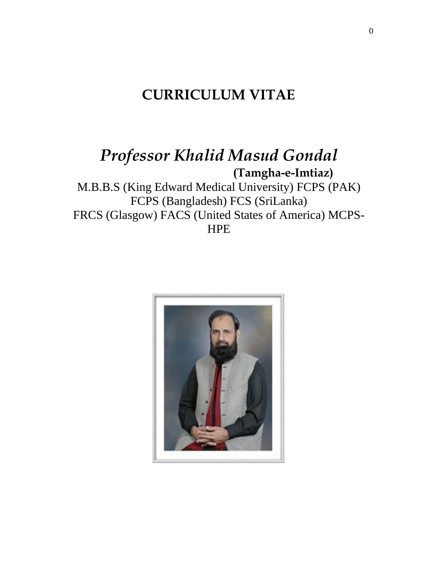# **CURRICULUM VITAE**

# *Professor Khalid Masud Gondal* **(Tamgha-e-Imtiaz)**

M.B.B.S (King Edward Medical University) FCPS (PAK) FCPS (Bangladesh) FCS (SriLanka) FRCS (Glasgow) FACS (United States of America) MCPS-**HPE** 

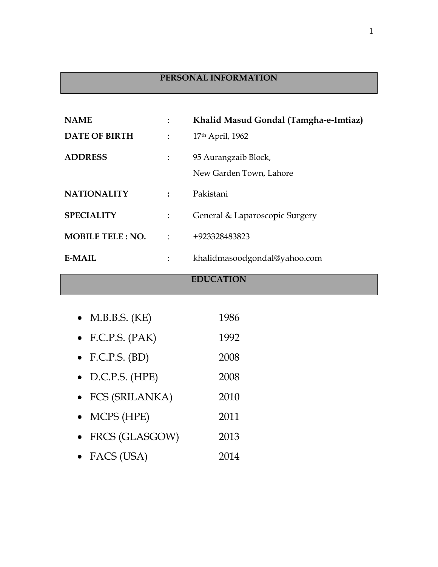## **PERSONAL INFORMATION**

| <b>NAME</b>             |           | Khalid Masud Gondal (Tamgha-e-Imtiaz) |
|-------------------------|-----------|---------------------------------------|
| <b>DATE OF BIRTH</b>    |           | 17th April, 1962                      |
| <b>ADDRESS</b>          |           | 95 Aurangzaib Block,                  |
|                         |           | New Garden Town, Lahore               |
| <b>NATIONALITY</b>      |           | Pakistani                             |
| <b>SPECIALITY</b>       |           | General & Laparoscopic Surgery        |
| <b>MOBILE TELE: NO.</b> | $\bullet$ | +923328483823                         |
| <b>E-MAIL</b>           |           | khalidmasoodgondal@yahoo.com          |

## **EDUCATION**

| $\bullet$ M.B.B.S. (KE)  | 1986 |
|--------------------------|------|
| $\bullet$ F.C.P.S. (PAK) | 1992 |
| $\bullet$ F.C.P.S. (BD)  | 2008 |
| $\bullet$ D.C.P.S. (HPE) | 2008 |
| • FCS (SRILANKA)         | 2010 |
| $\bullet$ MCPS (HPE)     | 2011 |
| • FRCS (GLASGOW)         | 2013 |
| • FACS (USA)             | 2014 |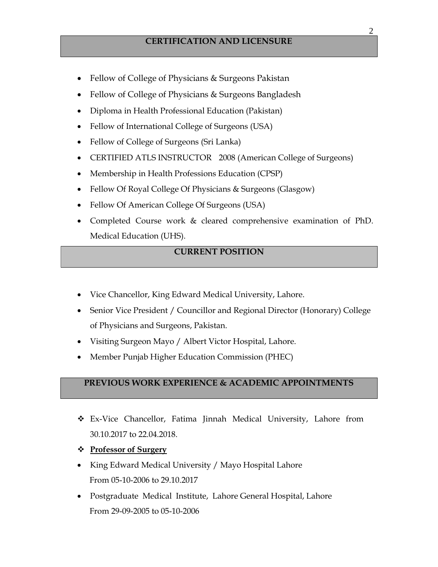- Fellow of College of Physicians & Surgeons Pakistan
- Fellow of College of Physicians & Surgeons Bangladesh
- Diploma in Health Professional Education (Pakistan)
- Fellow of International College of Surgeons (USA)
- Fellow of College of Surgeons (Sri Lanka)
- CERTIFIED ATLS INSTRUCTOR 2008 (American College of Surgeons)
- Membership in Health Professions Education (CPSP)
- Fellow Of Royal College Of Physicians & Surgeons (Glasgow)
- Fellow Of American College Of Surgeons (USA)
- Completed Course work & cleared comprehensive examination of PhD. Medical Education (UHS).

## **CURRENT POSITION**

- Vice Chancellor, King Edward Medical University, Lahore.
- Senior Vice President / Councillor and Regional Director (Honorary) College of Physicians and Surgeons, Pakistan.
- Visiting Surgeon Mayo / Albert Victor Hospital, Lahore.
- Member Punjab Higher Education Commission (PHEC)

## **PREVIOUS WORK EXPERIENCE & ACADEMIC APPOINTMENTS**

- ❖ Ex-Vice Chancellor, Fatima Jinnah Medical University, Lahore from 30.10.2017 to 22.04.2018.
- ❖ **Professor of Surgery**
- King Edward Medical University / Mayo Hospital Lahore From 05-10-2006 to 29.10.2017
- Postgraduate Medical Institute, Lahore General Hospital, Lahore From 29-09-2005 to 05-10-2006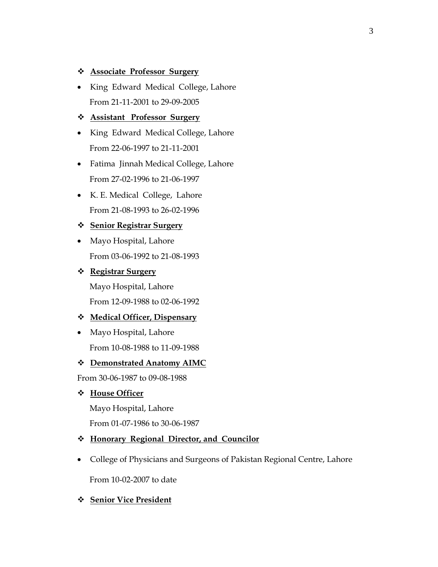#### ❖ **Associate Professor Surgery**

• King Edward Medical College, Lahore From 21-11-2001 to 29-09-2005

#### ❖ **Assistant Professor Surgery**

- King Edward Medical College, Lahore From 22-06-1997 to 21-11-2001
- Fatima Jinnah Medical College, Lahore From 27-02-1996 to 21-06-1997
- K. E. Medical College, Lahore From 21-08-1993 to 26-02-1996

#### ❖ **Senior Registrar Surgery**

• Mayo Hospital, Lahore From 03-06-1992 to 21-08-1993

#### ❖ **Registrar Surgery**

 Mayo Hospital, Lahore From 12-09-1988 to 02-06-1992

#### ❖ **Medical Officer, Dispensary**

• Mayo Hospital, Lahore From 10-08-1988 to 11-09-1988

#### ❖ **Demonstrated Anatomy AIMC**

From 30-06-1987 to 09-08-1988

#### ❖ **House Officer**

 Mayo Hospital, Lahore From 01-07-1986 to 30-06-1987

### ❖ **Honorary Regional Director, and Councilor**

• College of Physicians and Surgeons of Pakistan Regional Centre, Lahore

From 10-02-2007 to date

## ❖ **Senior Vice President**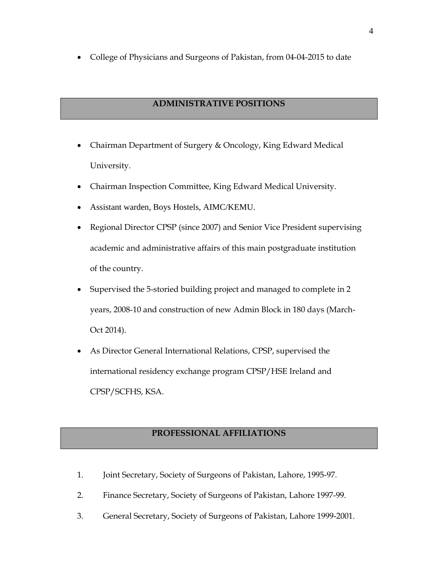• College of Physicians and Surgeons of Pakistan, from 04-04-2015 to date

## **ADMINISTRATIVE POSITIONS**

- Chairman Department of Surgery & Oncology, King Edward Medical University.
- Chairman Inspection Committee, King Edward Medical University.
- Assistant warden, Boys Hostels, AIMC/KEMU.
- Regional Director CPSP (since 2007) and Senior Vice President supervising academic and administrative affairs of this main postgraduate institution of the country.
- Supervised the 5-storied building project and managed to complete in 2 years, 2008-10 and construction of new Admin Block in 180 days (March-Oct 2014).
- As Director General International Relations, CPSP, supervised the international residency exchange program CPSP/HSE Ireland and CPSP/SCFHS, KSA.

## **PROFESSIONAL AFFILIATIONS**

- 1. Joint Secretary, Society of Surgeons of Pakistan, Lahore, 1995-97.
- 2. Finance Secretary, Society of Surgeons of Pakistan, Lahore 1997-99.
- 3. General Secretary, Society of Surgeons of Pakistan, Lahore 1999-2001.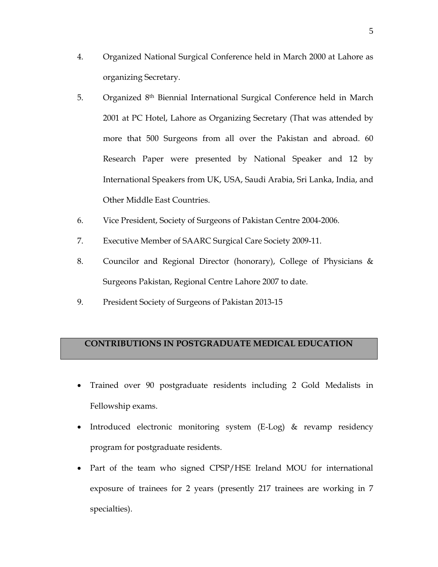- 4. Organized National Surgical Conference held in March 2000 at Lahore as organizing Secretary.
- 5. Organized 8th Biennial International Surgical Conference held in March 2001 at PC Hotel, Lahore as Organizing Secretary (That was attended by more that 500 Surgeons from all over the Pakistan and abroad. 60 Research Paper were presented by National Speaker and 12 by International Speakers from UK, USA, Saudi Arabia, Sri Lanka, India, and Other Middle East Countries.
- 6. Vice President, Society of Surgeons of Pakistan Centre 2004-2006.
- 7. Executive Member of SAARC Surgical Care Society 2009-11.
- 8. Councilor and Regional Director (honorary), College of Physicians & Surgeons Pakistan, Regional Centre Lahore 2007 to date.
- 9. President Society of Surgeons of Pakistan 2013-15

## **CONTRIBUTIONS IN POSTGRADUATE MEDICAL EDUCATION**

- Trained over 90 postgraduate residents including 2 Gold Medalists in Fellowship exams.
- Introduced electronic monitoring system (E-Log) & revamp residency program for postgraduate residents.
- Part of the team who signed CPSP/HSE Ireland MOU for international exposure of trainees for 2 years (presently 217 trainees are working in 7 specialties).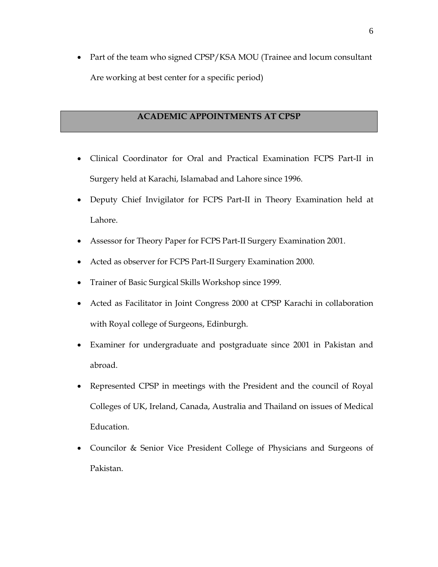• Part of the team who signed CPSP/KSA MOU (Trainee and locum consultant Are working at best center for a specific period)

## **ACADEMIC APPOINTMENTS AT CPSP**

- Clinical Coordinator for Oral and Practical Examination FCPS Part-II in Surgery held at Karachi, Islamabad and Lahore since 1996.
- Deputy Chief Invigilator for FCPS Part-II in Theory Examination held at Lahore.
- Assessor for Theory Paper for FCPS Part-II Surgery Examination 2001.
- Acted as observer for FCPS Part-II Surgery Examination 2000.
- Trainer of Basic Surgical Skills Workshop since 1999.
- Acted as Facilitator in Joint Congress 2000 at CPSP Karachi in collaboration with Royal college of Surgeons, Edinburgh.
- Examiner for undergraduate and postgraduate since 2001 in Pakistan and abroad.
- Represented CPSP in meetings with the President and the council of Royal Colleges of UK, Ireland, Canada, Australia and Thailand on issues of Medical Education.
- Councilor & Senior Vice President College of Physicians and Surgeons of Pakistan.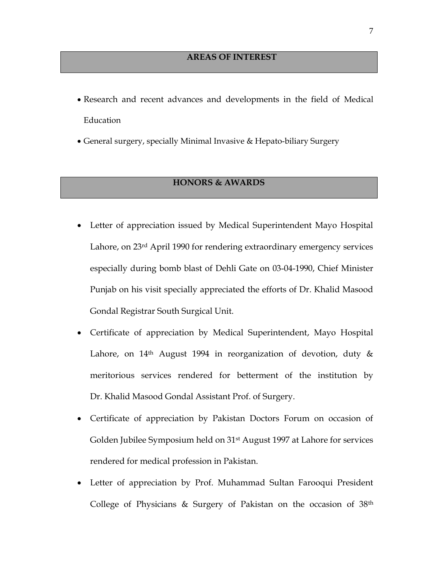- Research and recent advances and developments in the field of Medical Education
- General surgery, specially Minimal Invasive & Hepato-biliary Surgery

## **HONORS & AWARDS**

- Letter of appreciation issued by Medical Superintendent Mayo Hospital Lahore, on 23rd April 1990 for rendering extraordinary emergency services especially during bomb blast of Dehli Gate on 03-04-1990, Chief Minister Punjab on his visit specially appreciated the efforts of Dr. Khalid Masood Gondal Registrar South Surgical Unit.
- Certificate of appreciation by Medical Superintendent, Mayo Hospital Lahore, on 14<sup>th</sup> August 1994 in reorganization of devotion, duty & meritorious services rendered for betterment of the institution by Dr. Khalid Masood Gondal Assistant Prof. of Surgery.
- Certificate of appreciation by Pakistan Doctors Forum on occasion of Golden Jubilee Symposium held on 31st August 1997 at Lahore for services rendered for medical profession in Pakistan.
- Letter of appreciation by Prof. Muhammad Sultan Farooqui President College of Physicians & Surgery of Pakistan on the occasion of 38th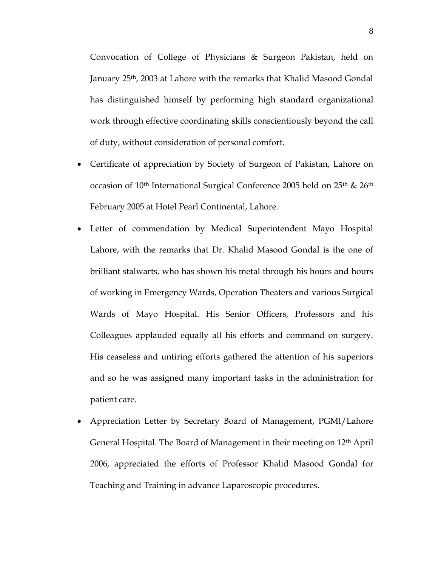Convocation of College of Physicians & Surgeon Pakistan, held on January 25th, 2003 at Lahore with the remarks that Khalid Masood Gondal has distinguished himself by performing high standard organizational work through effective coordinating skills conscientiously beyond the call of duty, without consideration of personal comfort.

- Certificate of appreciation by Society of Surgeon of Pakistan, Lahore on occasion of 10th International Surgical Conference 2005 held on 25th & 26th February 2005 at Hotel Pearl Continental, Lahore.
- Letter of commendation by Medical Superintendent Mayo Hospital Lahore, with the remarks that Dr. Khalid Masood Gondal is the one of brilliant stalwarts, who has shown his metal through his hours and hours of working in Emergency Wards, Operation Theaters and various Surgical Wards of Mayo Hospital. His Senior Officers, Professors and his Colleagues applauded equally all his efforts and command on surgery. His ceaseless and untiring efforts gathered the attention of his superiors and so he was assigned many important tasks in the administration for patient care.
- Appreciation Letter by Secretary Board of Management, PGMI/Lahore General Hospital. The Board of Management in their meeting on 12th April 2006, appreciated the efforts of Professor Khalid Masood Gondal for Teaching and Training in advance Laparoscopic procedures.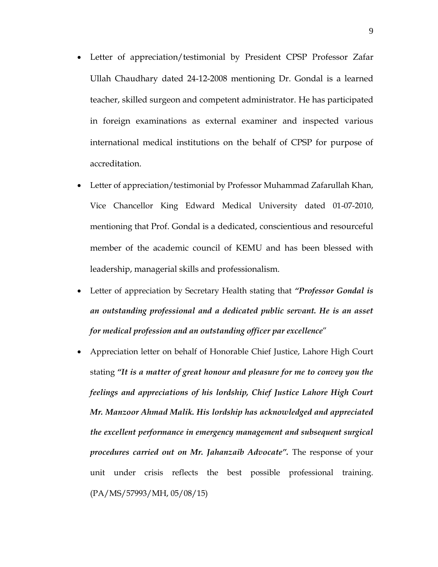- Letter of appreciation/testimonial by President CPSP Professor Zafar Ullah Chaudhary dated 24-12-2008 mentioning Dr. Gondal is a learned teacher, skilled surgeon and competent administrator. He has participated in foreign examinations as external examiner and inspected various international medical institutions on the behalf of CPSP for purpose of accreditation.
- Letter of appreciation/testimonial by Professor Muhammad Zafarullah Khan, Vice Chancellor King Edward Medical University dated 01-07-2010, mentioning that Prof. Gondal is a dedicated, conscientious and resourceful member of the academic council of KEMU and has been blessed with leadership, managerial skills and professionalism.
- Letter of appreciation by Secretary Health stating that *"Professor Gondal is an outstanding professional and a dedicated public servant. He is an asset for medical profession and an outstanding officer par excellence*"
- Appreciation letter on behalf of Honorable Chief Justice, Lahore High Court stating *"It is a matter of great honour and pleasure for me to convey you the feelings and appreciations of his lordship, Chief Justice Lahore High Court Mr. Manzoor Ahmad Malik. His lordship has acknowledged and appreciated the excellent performance in emergency management and subsequent surgical procedures carried out on Mr. Jahanzaib Advocate".* The response of your unit under crisis reflects the best possible professional training. (PA/MS/57993/MH, 05/08/15)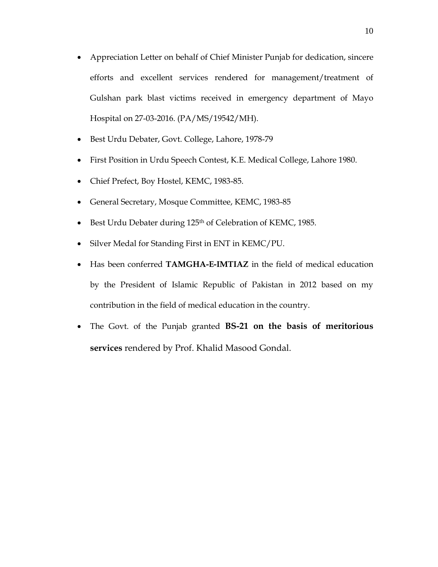- Appreciation Letter on behalf of Chief Minister Punjab for dedication, sincere efforts and excellent services rendered for management/treatment of Gulshan park blast victims received in emergency department of Mayo Hospital on 27-03-2016. (PA/MS/19542/MH).
- Best Urdu Debater, Govt. College, Lahore, 1978-79
- First Position in Urdu Speech Contest, K.E. Medical College, Lahore 1980.
- Chief Prefect, Boy Hostel, KEMC, 1983-85.
- General Secretary, Mosque Committee, KEMC, 1983-85
- Best Urdu Debater during 125<sup>th</sup> of Celebration of KEMC, 1985.
- Silver Medal for Standing First in ENT in KEMC/PU.
- Has been conferred **TAMGHA-E-IMTIAZ** in the field of medical education by the President of Islamic Republic of Pakistan in 2012 based on my contribution in the field of medical education in the country.
- The Govt. of the Punjab granted **BS-21 on the basis of meritorious services** rendered by Prof. Khalid Masood Gondal.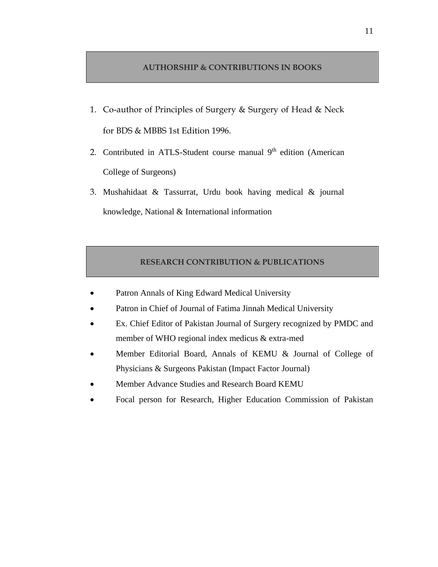### **AUTHORSHIP & CONTRIBUTIONS IN BOOKS**

- 1. Co-author of Principles of Surgery & Surgery of Head & Neck for BDS & MBBS 1st Edition 1996.
- 2. Contributed in ATLS-Student course manual 9<sup>th</sup> edition (American College of Surgeons)
- 3. Mushahidaat & Tassurrat, Urdu book having medical & journal knowledge, National & International information

## **RESEARCH CONTRIBUTION & PUBLICATIONS**

- Patron Annals of King Edward Medical University
- Patron in Chief of Journal of Fatima Jinnah Medical University
- Ex. Chief Editor of Pakistan Journal of Surgery recognized by PMDC and member of WHO regional index medicus & extra-med
- Member Editorial Board, Annals of KEMU & Journal of College of Physicians & Surgeons Pakistan (Impact Factor Journal)
- Member Advance Studies and Research Board KEMU
- Focal person for Research, Higher Education Commission of Pakistan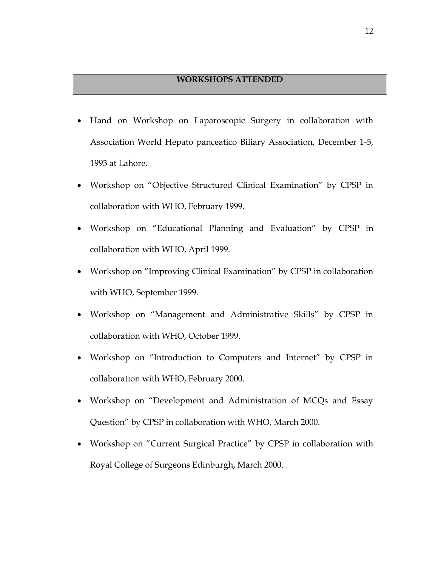## **WORKSHOPS ATTENDED**

- Hand on Workshop on Laparoscopic Surgery in collaboration with Association World Hepato panceatico Biliary Association, December 1-5, 1993 at Lahore.
- Workshop on "Objective Structured Clinical Examination" by CPSP in collaboration with WHO, February 1999.
- Workshop on "Educational Planning and Evaluation" by CPSP in collaboration with WHO, April 1999.
- Workshop on "Improving Clinical Examination" by CPSP in collaboration with WHO, September 1999.
- Workshop on "Management and Administrative Skills" by CPSP in collaboration with WHO, October 1999.
- Workshop on "Introduction to Computers and Internet" by CPSP in collaboration with WHO, February 2000.
- Workshop on "Development and Administration of MCQs and Essay Question" by CPSP in collaboration with WHO, March 2000.
- Workshop on "Current Surgical Practice" by CPSP in collaboration with Royal College of Surgeons Edinburgh, March 2000.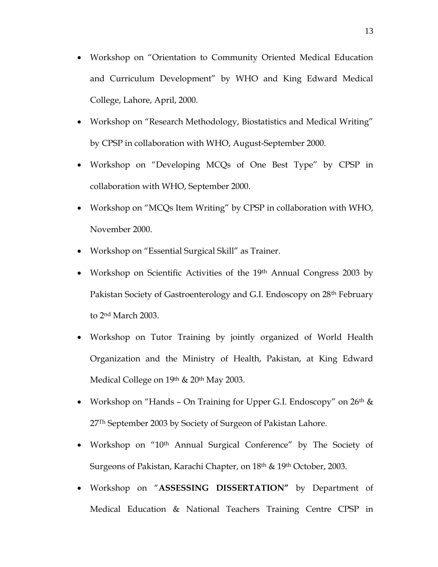- Workshop on "Orientation to Community Oriented Medical Education and Curriculum Development" by WHO and King Edward Medical College, Lahore, April, 2000.
- Workshop on "Research Methodology, Biostatistics and Medical Writing" by CPSP in collaboration with WHO, August-September 2000.
- Workshop on "Developing MCQs of One Best Type" by CPSP in collaboration with WHO, September 2000.
- Workshop on "MCQs Item Writing" by CPSP in collaboration with WHO, November 2000.
- Workshop on "Essential Surgical Skill" as Trainer.
- Workshop on Scientific Activities of the 19<sup>th</sup> Annual Congress 2003 by Pakistan Society of Gastroenterology and G.I. Endoscopy on 28th February to 2nd March 2003.
- Workshop on Tutor Training by jointly organized of World Health Organization and the Ministry of Health, Pakistan, at King Edward Medical College on 19<sup>th</sup> & 20<sup>th</sup> May 2003.
- Workshop on "Hands On Training for Upper G.I. Endoscopy" on  $26<sup>th</sup>$  & 27Th September 2003 by Society of Surgeon of Pakistan Lahore.
- Workshop on "10<sup>th</sup> Annual Surgical Conference" by The Society of Surgeons of Pakistan, Karachi Chapter, on 18th & 19th October, 2003.
- Workshop on "**ASSESSING DISSERTATION"** by Department of Medical Education & National Teachers Training Centre CPSP in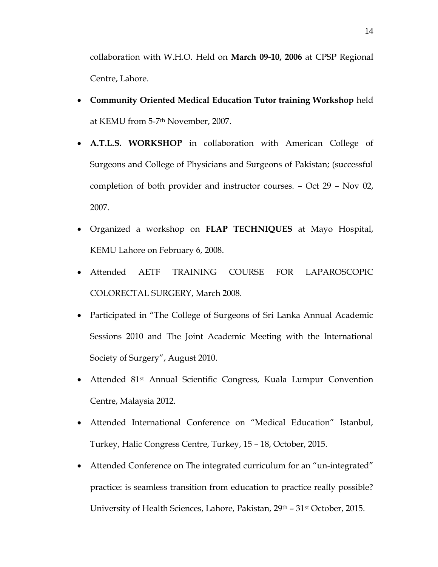collaboration with W.H.O. Held on **March 09-10, 2006** at CPSP Regional Centre, Lahore.

- **Community Oriented Medical Education Tutor training Workshop** held at KEMU from 5-7th November, 2007.
- **A.T.L.S. WORKSHOP** in collaboration with American College of Surgeons and College of Physicians and Surgeons of Pakistan; (successful completion of both provider and instructor courses. – Oct 29 – Nov 02, 2007.
- Organized a workshop on **FLAP TECHNIQUES** at Mayo Hospital, KEMU Lahore on February 6, 2008.
- Attended AETF TRAINING COURSE FOR LAPAROSCOPIC COLORECTAL SURGERY, March 2008.
- Participated in "The College of Surgeons of Sri Lanka Annual Academic Sessions 2010 and The Joint Academic Meeting with the International Society of Surgery", August 2010.
- Attended 81st Annual Scientific Congress, Kuala Lumpur Convention Centre, Malaysia 2012.
- Attended International Conference on "Medical Education" Istanbul, Turkey, Halic Congress Centre, Turkey, 15 – 18, October, 2015.
- Attended Conference on The integrated curriculum for an "un-integrated" practice: is seamless transition from education to practice really possible? University of Health Sciences, Lahore, Pakistan, 29<sup>th</sup> – 31<sup>st</sup> October, 2015.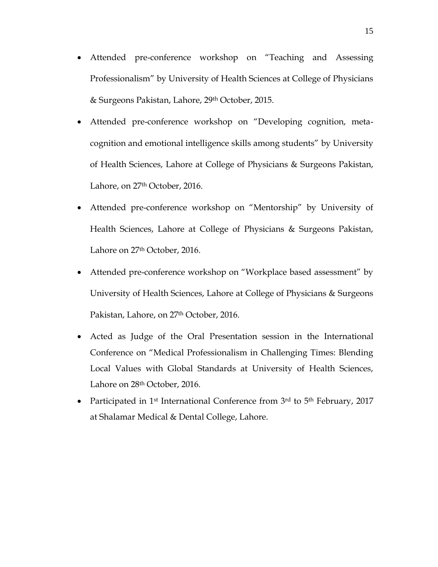- Attended pre-conference workshop on "Teaching and Assessing Professionalism" by University of Health Sciences at College of Physicians & Surgeons Pakistan, Lahore, 29th October, 2015.
- Attended pre-conference workshop on "Developing cognition, metacognition and emotional intelligence skills among students" by University of Health Sciences, Lahore at College of Physicians & Surgeons Pakistan, Lahore, on 27<sup>th</sup> October, 2016.
- Attended pre-conference workshop on "Mentorship" by University of Health Sciences, Lahore at College of Physicians & Surgeons Pakistan, Lahore on 27<sup>th</sup> October, 2016.
- Attended pre-conference workshop on "Workplace based assessment" by University of Health Sciences, Lahore at College of Physicians & Surgeons Pakistan, Lahore, on 27<sup>th</sup> October, 2016.
- Acted as Judge of the Oral Presentation session in the International Conference on "Medical Professionalism in Challenging Times: Blending Local Values with Global Standards at University of Health Sciences, Lahore on 28<sup>th</sup> October, 2016.
- Participated in 1<sup>st</sup> International Conference from 3<sup>rd</sup> to 5<sup>th</sup> February, 2017 at Shalamar Medical & Dental College, Lahore.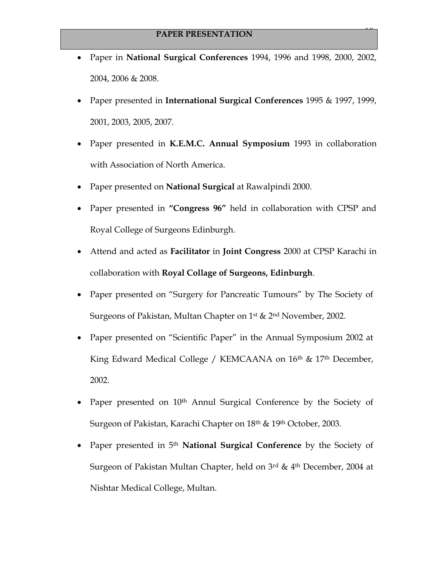• Paper in **National Surgical Conferences** 1994, 1996 and 1998, 2000, 2002, 2004, 2006 & 2008.

16

- Paper presented in **International Surgical Conferences** 1995 & 1997, 1999, 2001, 2003, 2005, 2007.
- Paper presented in **K.E.M.C. Annual Symposium** 1993 in collaboration with Association of North America.
- Paper presented on **National Surgical** at Rawalpindi 2000.
- Paper presented in **"Congress 96"** held in collaboration with CPSP and Royal College of Surgeons Edinburgh.
- Attend and acted as **Facilitator** in **Joint Congress** 2000 at CPSP Karachi in collaboration with **Royal Collage of Surgeons, Edinburgh**.
- Paper presented on "Surgery for Pancreatic Tumours" by The Society of Surgeons of Pakistan, Multan Chapter on 1st & 2nd November, 2002.
- Paper presented on "Scientific Paper" in the Annual Symposium 2002 at King Edward Medical College / KEMCAANA on 16<sup>th</sup> & 17<sup>th</sup> December, 2002.
- Paper presented on 10<sup>th</sup> Annul Surgical Conference by the Society of Surgeon of Pakistan, Karachi Chapter on 18<sup>th</sup> & 19<sup>th</sup> October, 2003.
- Paper presented in 5th **National Surgical Conference** by the Society of Surgeon of Pakistan Multan Chapter, held on 3rd & 4th December, 2004 at Nishtar Medical College, Multan.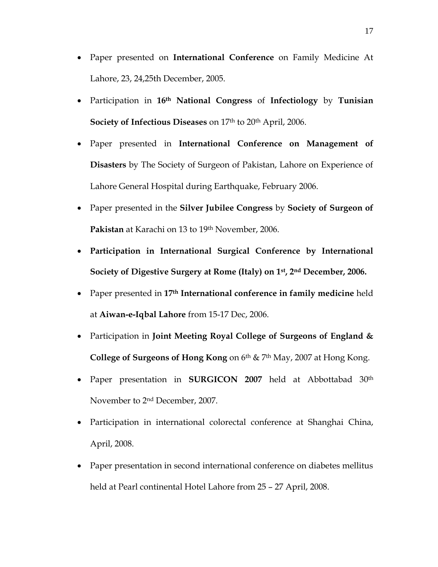- Paper presented on **International Conference** on Family Medicine At Lahore, 23, 24,25th December, 2005.
- Participation in **16th National Congress** of **Infectiology** by **Tunisian Society of Infectious Diseases** on 17<sup>th</sup> to 20<sup>th</sup> April, 2006.
- Paper presented in **International Conference on Management of Disasters** by The Society of Surgeon of Pakistan, Lahore on Experience of Lahore General Hospital during Earthquake, February 2006.
- Paper presented in the **Silver Jubilee Congress** by **Society of Surgeon of**  Pakistan at Karachi on 13 to 19<sup>th</sup> November, 2006.
- **Participation in International Surgical Conference by International Society of Digestive Surgery at Rome (Italy) on 1st, 2nd December, 2006.**
- Paper presented in **17th International conference in family medicine** held at **Aiwan-e-Iqbal Lahore** from 15-17 Dec, 2006.
- Participation in **Joint Meeting Royal College of Surgeons of England & College of Surgeons of Hong Kong** on 6th & 7th May, 2007 at Hong Kong.
- Paper presentation in **SURGICON 2007** held at Abbottabad 30th November to 2nd December, 2007.
- Participation in international colorectal conference at Shanghai China, April, 2008.
- Paper presentation in second international conference on diabetes mellitus held at Pearl continental Hotel Lahore from 25 – 27 April, 2008.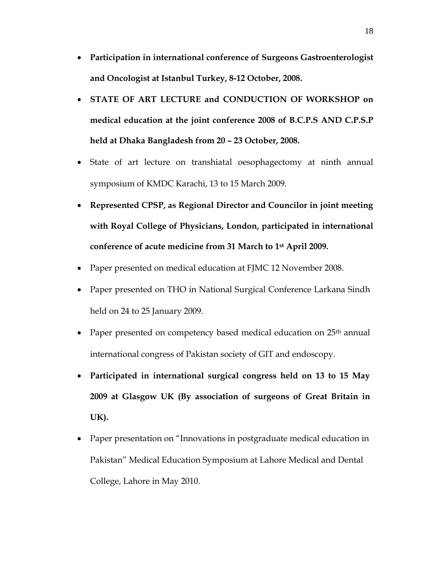- **Participation in international conference of Surgeons Gastroenterologist and Oncologist at Istanbul Turkey, 8-12 October, 2008.**
- **STATE OF ART LECTURE and CONDUCTION OF WORKSHOP on medical education at the joint conference 2008 of B.C.P.S AND C.P.S.P held at Dhaka Bangladesh from 20 – 23 October, 2008.**
- State of art lecture on transhiatal oesophagectomy at ninth annual symposium of KMDC Karachi, 13 to 15 March 2009.
- **Represented CPSP, as Regional Director and Councilor in joint meeting with Royal College of Physicians, London, participated in international conference of acute medicine from 31 March to 1st April 2009.**
- Paper presented on medical education at FJMC 12 November 2008.
- Paper presented on THO in National Surgical Conference Larkana Sindh held on 24 to 25 January 2009.
- Paper presented on competency based medical education on 25<sup>th</sup> annual international congress of Pakistan society of GIT and endoscopy.
- **Participated in international surgical congress held on 13 to 15 May 2009 at Glasgow UK (By association of surgeons of Great Britain in UK).**
- Paper presentation on "Innovations in postgraduate medical education in Pakistan" Medical Education Symposium at Lahore Medical and Dental College, Lahore in May 2010.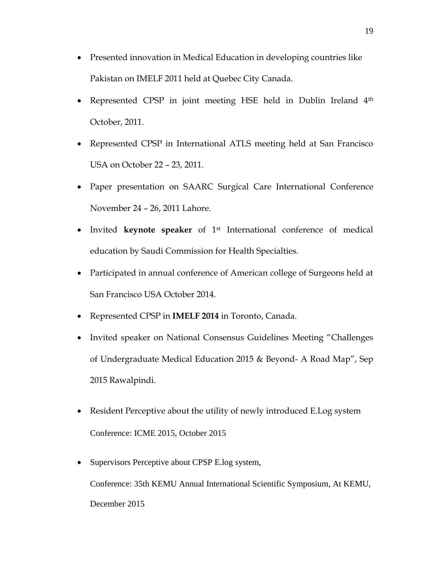- Presented innovation in Medical Education in developing countries like Pakistan on IMELF 2011 held at Quebec City Canada.
- Represented CPSP in joint meeting HSE held in Dublin Ireland 4<sup>th</sup> October, 2011.
- Represented CPSP in International ATLS meeting held at San Francisco USA on October 22 – 23, 2011.
- Paper presentation on SAARC Surgical Care International Conference November 24 – 26, 2011 Lahore.
- Invited **keynote speaker** of 1st International conference of medical education by Saudi Commission for Health Specialties.
- Participated in annual conference of American college of Surgeons held at San Francisco USA October 2014.
- Represented CPSP in **IMELF 2014** in Toronto, Canada.
- Invited speaker on National Consensus Guidelines Meeting "Challenges of Undergraduate Medical Education 2015 & Beyond- A Road Map", Sep 2015 Rawalpindi.
- Resident Perceptive about the utility of newly introduced E.Log system Conference: ICME 2015, October 2015
- Supervisors Perceptive about CPSP E.log system, Conference: 35th KEMU Annual International Scientific Symposium, At KEMU,

December 2015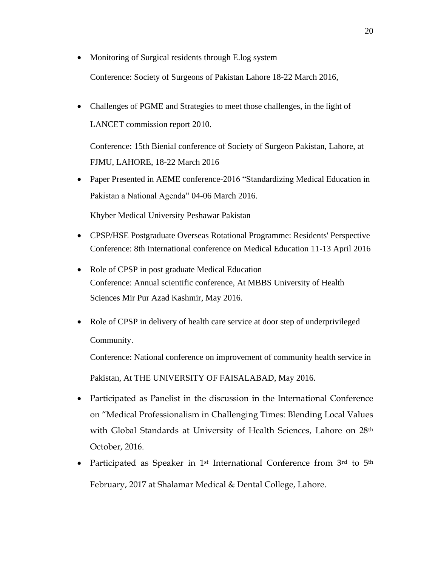- Monitoring of Surgical residents through E.log system Conference: Society of Surgeons of Pakistan Lahore 18-22 March 2016,
- Challenges of PGME and Strategies to meet those challenges, in the light of LANCET commission report 2010.

Conference: 15th Bienial conference of Society of Surgeon Pakistan, Lahore, at FJMU, LAHORE, 18-22 March 2016

• Paper Presented in AEME conference-2016 "Standardizing Medical Education in Pakistan a National Agenda" 04-06 March 2016.

Khyber Medical University Peshawar Pakistan

- CPSP/HSE Postgraduate Overseas Rotational Programme: Residents' Perspective Conference: 8th International conference on Medical Education 11-13 April 2016
- Role of CPSP in post graduate Medical Education Conference: Annual scientific conference, At MBBS University of Health Sciences Mir Pur Azad Kashmir, May 2016.
- Role of CPSP in delivery of health care service at door step of underprivileged Community.

Conference: National conference on improvement of community health service in

Pakistan, At THE UNIVERSITY OF FAISALABAD, May 2016.

- Participated as Panelist in the discussion in the International Conference on "Medical Professionalism in Challenging Times: Blending Local Values with Global Standards at University of Health Sciences, Lahore on 28<sup>th</sup> October, 2016.
- Participated as Speaker in 1<sup>st</sup> International Conference from 3<sup>rd</sup> to 5<sup>th</sup> February, 2017 at Shalamar Medical & Dental College, Lahore.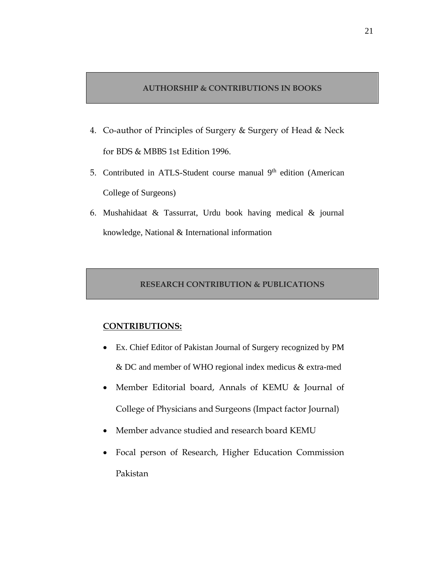#### **AUTHORSHIP & CONTRIBUTIONS IN BOOKS**

- 4. Co-author of Principles of Surgery & Surgery of Head & Neck for BDS & MBBS 1st Edition 1996.
- 5. Contributed in ATLS-Student course manual 9<sup>th</sup> edition (American College of Surgeons)
- 6. Mushahidaat & Tassurrat, Urdu book having medical & journal knowledge, National & International information

## **RESEARCH CONTRIBUTION & PUBLICATIONS**

## **CONTRIBUTIONS:**

- Ex. Chief Editor of Pakistan Journal of Surgery recognized by PM & DC and member of WHO regional index medicus & extra-med
- Member Editorial board, Annals of KEMU & Journal of College of Physicians and Surgeons (Impact factor Journal)
- Member advance studied and research board KEMU
- Focal person of Research, Higher Education Commission Pakistan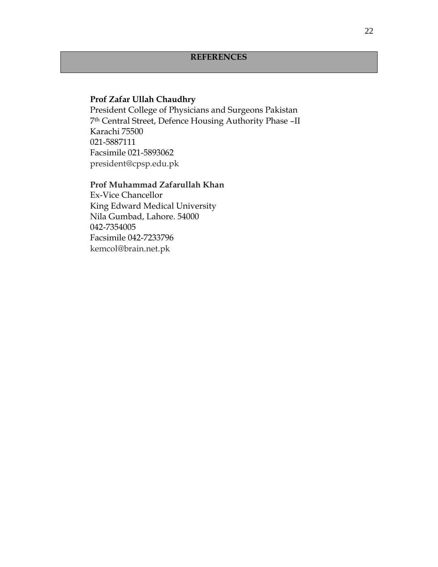## **Prof Zafar Ullah Chaudhry**

President College of Physicians and Surgeons Pakistan 7th Central Street, Defence Housing Authority Phase –II Karachi 75500 021-5887111 Facsimile 021-5893062 [president@cpsp.edu.pk](mailto:president@cpsp.edu.pk)

#### **Prof Muhammad Zafarullah Khan**

Ex-Vice Chancellor King Edward Medical University Nila Gumbad, Lahore. 54000 042-7354005 Facsimile 042-7233796 [kemcol@brain.net.pk](mailto:kemcol@brain.net.pk)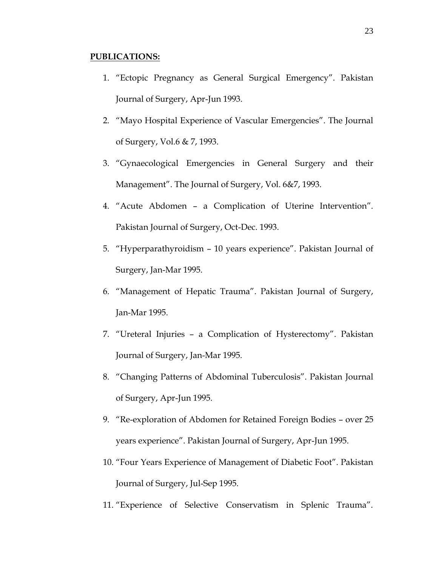#### **PUBLICATIONS:**

- 1. "Ectopic Pregnancy as General Surgical Emergency". Pakistan Journal of Surgery, Apr-Jun 1993.
- 2. "Mayo Hospital Experience of Vascular Emergencies". The Journal of Surgery, Vol.6 & 7, 1993.
- 3. "Gynaecological Emergencies in General Surgery and their Management". The Journal of Surgery, Vol. 6&7, 1993.
- 4. "Acute Abdomen a Complication of Uterine Intervention". Pakistan Journal of Surgery, Oct-Dec. 1993.
- 5. "Hyperparathyroidism 10 years experience". Pakistan Journal of Surgery, Jan-Mar 1995.
- 6. "Management of Hepatic Trauma". Pakistan Journal of Surgery, Jan-Mar 1995.
- 7. "Ureteral Injuries a Complication of Hysterectomy". Pakistan Journal of Surgery, Jan-Mar 1995.
- 8. "Changing Patterns of Abdominal Tuberculosis". Pakistan Journal of Surgery, Apr-Jun 1995.
- 9. "Re-exploration of Abdomen for Retained Foreign Bodies over 25 years experience". Pakistan Journal of Surgery, Apr-Jun 1995.
- 10. "Four Years Experience of Management of Diabetic Foot". Pakistan Journal of Surgery, Jul-Sep 1995.
- 11. "Experience of Selective Conservatism in Splenic Trauma".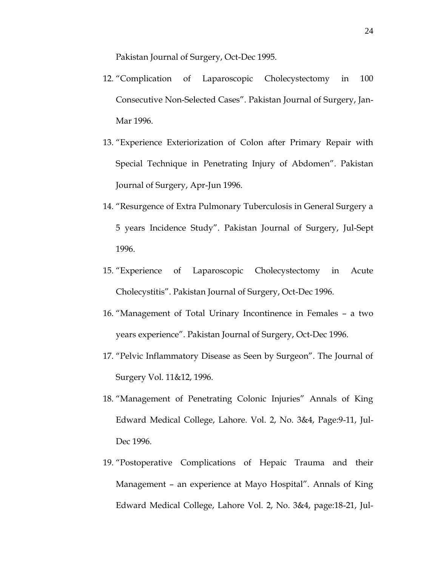Pakistan Journal of Surgery, Oct-Dec 1995.

- 12. "Complication of Laparoscopic Cholecystectomy in 100 Consecutive Non-Selected Cases". Pakistan Journal of Surgery, Jan-Mar 1996.
- 13. "Experience Exteriorization of Colon after Primary Repair with Special Technique in Penetrating Injury of Abdomen". Pakistan Journal of Surgery, Apr-Jun 1996.
- 14. "Resurgence of Extra Pulmonary Tuberculosis in General Surgery a 5 years Incidence Study". Pakistan Journal of Surgery, Jul-Sept 1996.
- 15. "Experience of Laparoscopic Cholecystectomy in Acute Cholecystitis". Pakistan Journal of Surgery, Oct-Dec 1996.
- 16. "Management of Total Urinary Incontinence in Females a two years experience". Pakistan Journal of Surgery, Oct-Dec 1996.
- 17. "Pelvic Inflammatory Disease as Seen by Surgeon". The Journal of Surgery Vol. 11&12, 1996.
- 18. "Management of Penetrating Colonic Injuries" Annals of King Edward Medical College, Lahore. Vol. 2, No. 3&4, Page:9-11, Jul-Dec 1996.
- 19. "Postoperative Complications of Hepaic Trauma and their Management – an experience at Mayo Hospital". Annals of King Edward Medical College, Lahore Vol. 2, No. 3&4, page:18-21, Jul-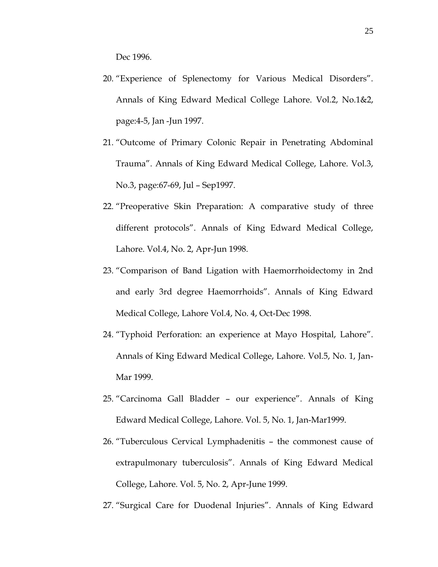Dec 1996.

- 20. "Experience of Splenectomy for Various Medical Disorders". Annals of King Edward Medical College Lahore. Vol.2, No.1&2, page:4-5, Jan -Jun 1997.
- 21. "Outcome of Primary Colonic Repair in Penetrating Abdominal Trauma". Annals of King Edward Medical College, Lahore. Vol.3, No.3, page:67-69, Jul – Sep1997.
- 22. "Preoperative Skin Preparation: A comparative study of three different protocols". Annals of King Edward Medical College, Lahore. Vol.4, No. 2, Apr-Jun 1998.
- 23. "Comparison of Band Ligation with Haemorrhoidectomy in 2nd and early 3rd degree Haemorrhoids". Annals of King Edward Medical College, Lahore Vol.4, No. 4, Oct-Dec 1998.
- 24. "Typhoid Perforation: an experience at Mayo Hospital, Lahore". Annals of King Edward Medical College, Lahore. Vol.5, No. 1, Jan-Mar 1999.
- 25. "Carcinoma Gall Bladder our experience". Annals of King Edward Medical College, Lahore. Vol. 5, No. 1, Jan-Mar1999.
- 26. "Tuberculous Cervical Lymphadenitis the commonest cause of extrapulmonary tuberculosis". Annals of King Edward Medical College, Lahore. Vol. 5, No. 2, Apr-June 1999.
- 27. "Surgical Care for Duodenal Injuries". Annals of King Edward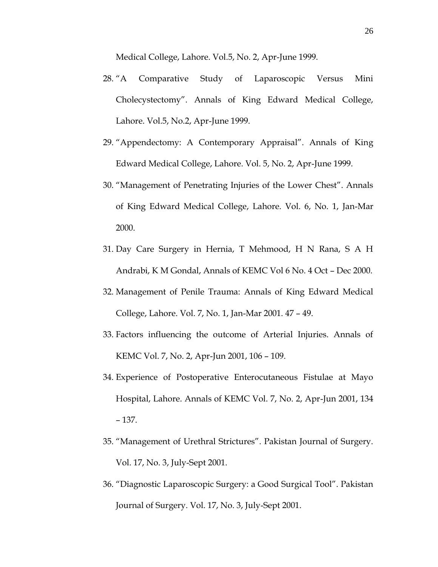Medical College, Lahore. Vol.5, No. 2, Apr-June 1999.

- 28. "A Comparative Study of Laparoscopic Versus Mini Cholecystectomy". Annals of King Edward Medical College, Lahore. Vol.5, No.2, Apr-June 1999.
- 29. "Appendectomy: A Contemporary Appraisal". Annals of King Edward Medical College, Lahore. Vol. 5, No. 2, Apr-June 1999.
- 30. "Management of Penetrating Injuries of the Lower Chest". Annals of King Edward Medical College, Lahore. Vol. 6, No. 1, Jan-Mar 2000.
- 31. Day Care Surgery in Hernia, T Mehmood, H N Rana, S A H Andrabi, K M Gondal, Annals of KEMC Vol 6 No. 4 Oct – Dec 2000.
- 32. Management of Penile Trauma: Annals of King Edward Medical College, Lahore. Vol. 7, No. 1, Jan-Mar 2001. 47 – 49.
- 33. Factors influencing the outcome of Arterial Injuries. Annals of KEMC Vol. 7, No. 2, Apr-Jun 2001, 106 – 109.
- 34. Experience of Postoperative Enterocutaneous Fistulae at Mayo Hospital, Lahore. Annals of KEMC Vol. 7, No. 2, Apr-Jun 2001, 134 – 137.
- 35. "Management of Urethral Strictures". Pakistan Journal of Surgery. Vol. 17, No. 3, July-Sept 2001.
- 36. "Diagnostic Laparoscopic Surgery: a Good Surgical Tool". Pakistan Journal of Surgery. Vol. 17, No. 3, July-Sept 2001.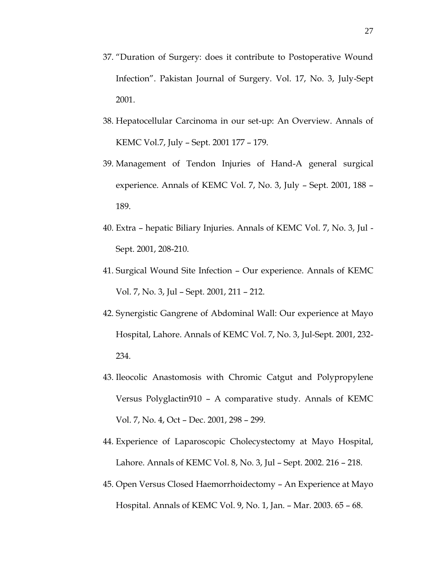- 37. "Duration of Surgery: does it contribute to Postoperative Wound Infection". Pakistan Journal of Surgery. Vol. 17, No. 3, July-Sept 2001.
- 38. Hepatocellular Carcinoma in our set-up: An Overview. Annals of KEMC Vol.7, July – Sept. 2001 177 – 179.
- 39. Management of Tendon Injuries of Hand-A general surgical experience. Annals of KEMC Vol. 7, No. 3, July – Sept. 2001, 188 – 189.
- 40. Extra hepatic Biliary Injuries. Annals of KEMC Vol. 7, No. 3, Jul Sept. 2001, 208-210.
- 41. Surgical Wound Site Infection Our experience. Annals of KEMC Vol. 7, No. 3, Jul – Sept. 2001, 211 – 212.
- 42. Synergistic Gangrene of Abdominal Wall: Our experience at Mayo Hospital, Lahore. Annals of KEMC Vol. 7, No. 3, Jul-Sept. 2001, 232- 234.
- 43. Ileocolic Anastomosis with Chromic Catgut and Polypropylene Versus Polyglactin910 – A comparative study. Annals of KEMC Vol. 7, No. 4, Oct – Dec. 2001, 298 – 299.
- 44. Experience of Laparoscopic Cholecystectomy at Mayo Hospital, Lahore. Annals of KEMC Vol. 8, No. 3, Jul – Sept. 2002. 216 – 218.
- 45. Open Versus Closed Haemorrhoidectomy An Experience at Mayo Hospital. Annals of KEMC Vol. 9, No. 1, Jan. – Mar. 2003. 65 – 68.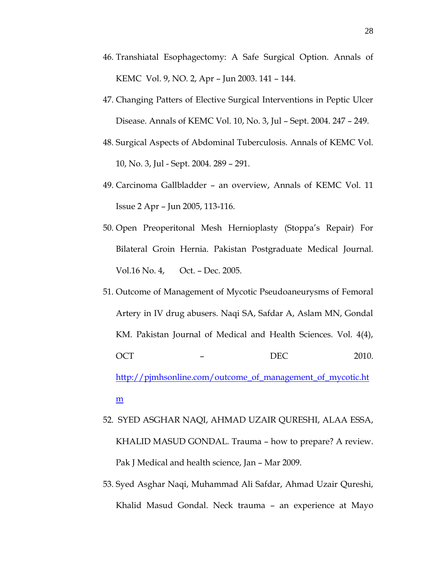- 46. Transhiatal Esophagectomy: A Safe Surgical Option. Annals of KEMC Vol. 9, NO. 2, Apr – Jun 2003. 141 – 144.
- 47. Changing Patters of Elective Surgical Interventions in Peptic Ulcer Disease. Annals of KEMC Vol. 10, No. 3, Jul – Sept. 2004. 247 – 249.
- 48. Surgical Aspects of Abdominal Tuberculosis. Annals of KEMC Vol. 10, No. 3, Jul - Sept. 2004. 289 – 291.
- 49. Carcinoma Gallbladder an overview, Annals of KEMC Vol. 11 Issue 2 Apr – Jun 2005, 113-116.
- 50. Open Preoperitonal Mesh Hernioplasty (Stoppa's Repair) For Bilateral Groin Hernia. Pakistan Postgraduate Medical Journal. Vol.16 No. 4, Oct. – Dec. 2005.
- 51. Outcome of Management of Mycotic Pseudoaneurysms of Femoral Artery in IV drug abusers. Naqi SA, Safdar A, Aslam MN, Gondal KM. Pakistan Journal of Medical and Health Sciences. Vol. 4(4), OCT – DEC 2010. [http://pjmhsonline.com/outcome\\_of\\_management\\_of\\_mycotic.ht](http://pjmhsonline.com/outcome_of_management_of_mycotic.htm) [m](http://pjmhsonline.com/outcome_of_management_of_mycotic.htm)
- 52. SYED ASGHAR NAQI, AHMAD UZAIR QURESHI, ALAA ESSA, KHALID MASUD GONDAL. Trauma – how to prepare? A review. Pak J Medical and health science, Jan – Mar 2009.
- 53. Syed Asghar Naqi, Muhammad Ali Safdar, Ahmad Uzair Qureshi, Khalid Masud Gondal. Neck trauma – an experience at Mayo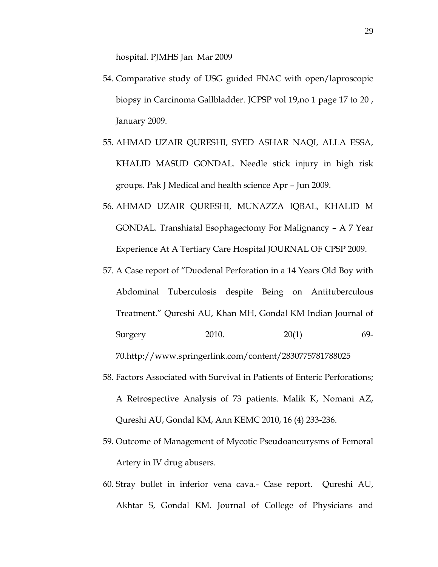hospital. PJMHS Jan Mar 2009

- 54. Comparative study of USG guided FNAC with open/laproscopic biopsy in Carcinoma Gallbladder. JCPSP vol 19,no 1 page 17 to 20 , January 2009.
- 55. AHMAD UZAIR QURESHI, SYED ASHAR NAQI, ALLA ESSA, KHALID MASUD GONDAL. Needle stick injury in high risk groups. Pak J Medical and health science Apr – Jun 2009.
- 56. AHMAD UZAIR QURESHI, MUNAZZA IQBAL, KHALID M GONDAL. Transhiatal Esophagectomy For Malignancy – A 7 Year Experience At A Tertiary Care Hospital JOURNAL OF CPSP 2009.
- 57. A Case report of "Duodenal Perforation in a 14 Years Old Boy with Abdominal Tuberculosis despite Being on Antituberculous Treatment." Qureshi AU, Khan MH, Gondal KM Indian Journal of Surgery 2010. 20(1) 69-

70.http://www.springerlink.com/content/2830775781788025

- 58. Factors Associated with Survival in Patients of Enteric Perforations; A Retrospective Analysis of 73 patients. Malik K, Nomani AZ, Qureshi AU, Gondal KM, Ann KEMC 2010, 16 (4) 233-236.
- 59. Outcome of Management of Mycotic Pseudoaneurysms of Femoral Artery in IV drug abusers.
- 60. Stray bullet in inferior vena cava.- Case report. Qureshi AU, Akhtar S, Gondal KM. Journal of College of Physicians and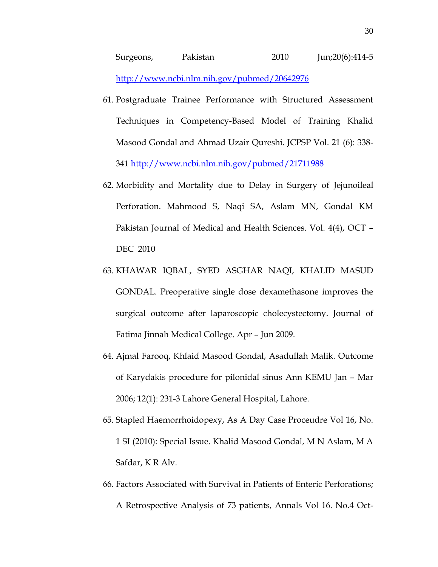- 61. Postgraduate Trainee Performance with Structured Assessment Techniques in Competency-Based Model of Training Khalid Masood Gondal and Ahmad Uzair Qureshi. JCPSP Vol. 21 (6): 338- 341<http://www.ncbi.nlm.nih.gov/pubmed/21711988>
- 62. Morbidity and Mortality due to Delay in Surgery of Jejunoileal Perforation. Mahmood S, Naqi SA, Aslam MN, Gondal KM Pakistan Journal of Medical and Health Sciences. Vol. 4(4), OCT – DEC 2010
- 63. KHAWAR IQBAL, SYED ASGHAR NAQI, KHALID MASUD GONDAL. Preoperative single dose dexamethasone improves the surgical outcome after laparoscopic cholecystectomy. Journal of Fatima Jinnah Medical College. Apr – Jun 2009.
- 64. Ajmal Farooq, Khlaid Masood Gondal, Asadullah Malik. Outcome of Karydakis procedure for pilonidal sinus Ann KEMU Jan – Mar 2006; 12(1): 231-3 Lahore General Hospital, Lahore.
- 65. Stapled Haemorrhoidopexy, As A Day Case Proceudre Vol 16, No. 1 SI (2010): Special Issue. Khalid Masood Gondal, M N Aslam, M A Safdar, K R Alv.
- 66. Factors Associated with Survival in Patients of Enteric Perforations; A Retrospective Analysis of 73 patients, Annals Vol 16. No.4 Oct-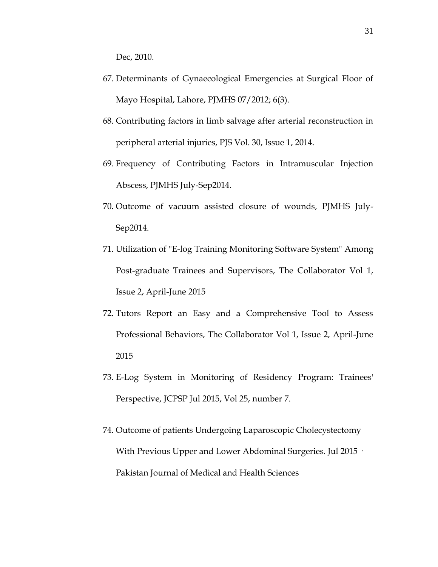Dec, 2010.

- 67. Determinants of Gynaecological Emergencies at Surgical Floor of Mayo Hospital, Lahore, PJMHS 07/2012; 6(3).
- 68. Contributing factors in limb salvage after arterial reconstruction in peripheral arterial injuries, PJS Vol. 30, Issue 1, 2014.
- 69. Frequency of Contributing Factors in Intramuscular Injection Abscess, PJMHS July-Sep2014.
- 70. Outcome of vacuum assisted closure of wounds, PJMHS July-Sep2014.
- 71. Utilization of "E-log Training Monitoring Software System" Among Post-graduate Trainees and Supervisors, The Collaborator Vol 1, Issue 2, April-June 2015
- 72. Tutors Report an Easy and a Comprehensive Tool to Assess Professional Behaviors, The Collaborator Vol 1, Issue 2, April-June 2015
- 73. E-Log System in Monitoring of Residency Program: Trainees' Perspective, JCPSP Jul 2015, Vol 25, number 7.
- 74. Outcome of patients Undergoing Laparoscopic Cholecystectomy With Previous Upper and Lower Abdominal Surgeries. Jul 2015 · Pakistan Journal of Medical and Health Sciences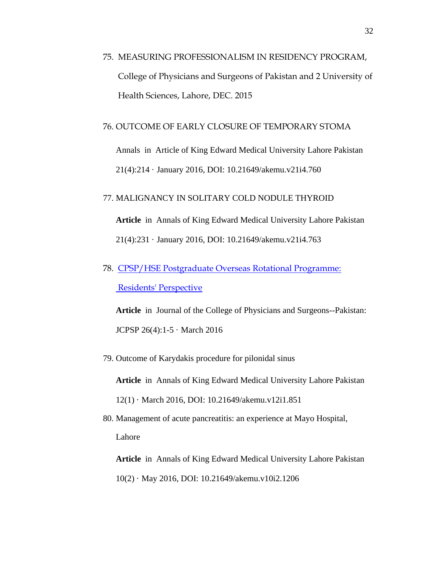75. MEASURING PROFESSIONALISM IN RESIDENCY PROGRAM, College of Physicians and Surgeons of Pakistan and 2 University of Health Sciences, Lahore, DEC. 2015

#### 76. OUTCOME OF EARLY CLOSURE OF TEMPORARY STOMA

Annals in Article of King Edward Medical University Lahore Pakistan 21(4):214 · January 2016, DOI: 10.21649/akemu.v21i4.760

### 77. MALIGNANCY IN SOLITARY COLD NODULE THYROID

**Article** in Annals of King Edward Medical University Lahore Pakistan 21(4):231 · January 2016, DOI: 10.21649/akemu.v21i4.763

78. [CPSP/HSE Postgraduate Overseas Rotational Programme:](https://www.researchgate.net/publication/299401967_CPSPHSE_Postgraduate_Overseas_Rotational_Programme_Residents%27_Perspective_Khalid_Masood_Gondal1_Uzma_Iqbal2_Seema_Arif3_Arslan_Ahmed2_and_Umair_Ahmed_Khan4?ev=prf_pub)  [Residents' Perspective](https://www.researchgate.net/publication/299401967_CPSPHSE_Postgraduate_Overseas_Rotational_Programme_Residents%27_Perspective_Khalid_Masood_Gondal1_Uzma_Iqbal2_Seema_Arif3_Arslan_Ahmed2_and_Umair_Ahmed_Khan4?ev=prf_pub) 

**Article** in Journal of the College of Physicians and Surgeons--Pakistan: JCPSP 26(4):1-5 · March 2016

79. Outcome of Karydakis procedure for pilonidal sinus

**Article** in Annals of King Edward Medical University Lahore Pakistan

12(1) · March 2016, DOI: 10.21649/akemu.v12i1.851

80. Management of acute pancreatitis: an experience at Mayo Hospital, Lahore

**Article** in Annals of King Edward Medical University Lahore Pakistan 10(2) · May 2016, DOI: 10.21649/akemu.v10i2.1206